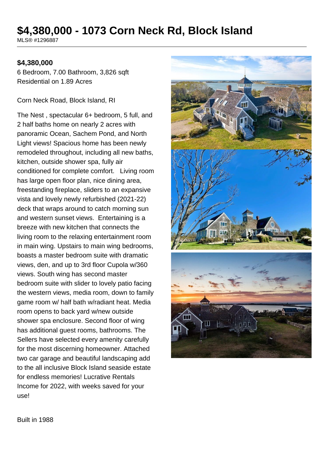# **\$4,380,000 - 1073 Corn Neck Rd, Block Island**

MLS® #1296887

#### **\$4,380,000**

6 Bedroom, 7.00 Bathroom, 3,826 sqft Residential on 1.89 Acres

Corn Neck Road, Block Island, RI

The Nest , spectacular 6+ bedroom, 5 full, and 2 half baths home on nearly 2 acres with panoramic Ocean, Sachem Pond, and North Light views! Spacious home has been newly remodeled throughout, including all new baths, kitchen, outside shower spa, fully air conditioned for complete comfort. Living room has large open floor plan, nice dining area, freestanding fireplace, sliders to an expansive vista and lovely newly refurbished (2021-22) deck that wraps around to catch morning sun and western sunset views. Entertaining is a breeze with new kitchen that connects the living room to the relaxing entertainment room in main wing. Upstairs to main wing bedrooms, boasts a master bedroom suite with dramatic views, den, and up to 3rd floor Cupola w/360 views. South wing has second master bedroom suite with slider to lovely patio facing the western views, media room, down to family game room w/ half bath w/radiant heat. Media room opens to back yard w/new outside shower spa enclosure. Second floor of wing has additional guest rooms, bathrooms. The Sellers have selected every amenity carefully for the most discerning homeowner. Attached two car garage and beautiful landscaping add to the all inclusive Block Island seaside estate for endless memories! Lucrative Rentals Income for 2022, with weeks saved for your use!



Built in 1988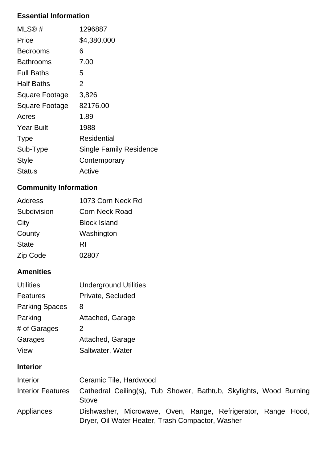## **Essential Information**

| $MLS@$ #              | 1296887                        |
|-----------------------|--------------------------------|
| Price                 | \$4,380,000                    |
| <b>Bedrooms</b>       | 6                              |
| Bathrooms             | 7.00                           |
| <b>Full Baths</b>     | 5                              |
| <b>Half Baths</b>     | 2                              |
| <b>Square Footage</b> | 3,826                          |
| <b>Square Footage</b> | 82176.00                       |
| Acres                 | 1.89                           |
| <b>Year Built</b>     | 1988                           |
| <b>Type</b>           | Residential                    |
| Sub-Type              | <b>Single Family Residence</b> |
| Style                 | Contemporary                   |
| Status                | Active                         |

# **Community Information**

| <b>Address</b> | 1073 Corn Neck Rd     |
|----------------|-----------------------|
| Subdivision    | <b>Corn Neck Road</b> |
| City           | <b>Block Island</b>   |
| County         | Washington            |
| <b>State</b>   | RI                    |
| Zip Code       | 02807                 |

### **Amenities**

| <b>Utilities</b>      | <b>Underground Utilities</b> |
|-----------------------|------------------------------|
| <b>Features</b>       | Private, Secluded            |
| <b>Parking Spaces</b> | 8                            |
| Parking               | Attached, Garage             |
| # of Garages          | 2                            |
| Garages               | Attached, Garage             |
| View                  | Saltwater, Water             |

### **Interior**

| <b>Interior</b>   | Ceramic Tile, Hardwood                                                                                            |
|-------------------|-------------------------------------------------------------------------------------------------------------------|
| Interior Features | Cathedral Ceiling(s), Tub Shower, Bathtub, Skylights, Wood Burning<br><b>Stove</b>                                |
| Appliances        | Dishwasher, Microwave, Oven, Range, Refrigerator, Range Hood,<br>Dryer, Oil Water Heater, Trash Compactor, Washer |